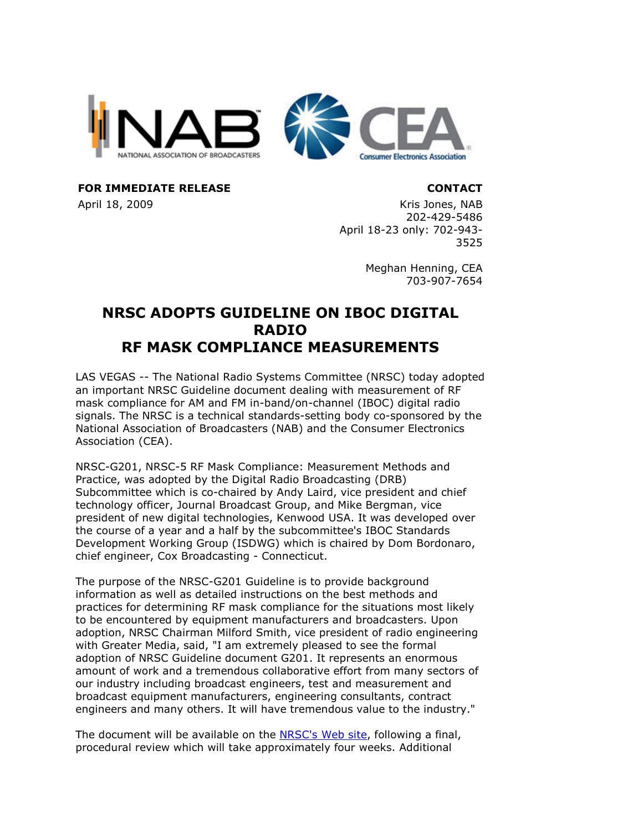

**FOR IMMEDIATE RELEASE CONTACT**

April 18, 2009 **Kris Jones, NAB** 202-429-5486 April 18-23 only: 702-943- 3525

> Meghan Henning, CEA 703-907-7654

## **NRSC ADOPTS GUIDELINE ON IBOC DIGITAL RADIO RF MASK COMPLIANCE MEASUREMENTS**

LAS VEGAS -- The National Radio Systems Committee (NRSC) today adopted an important NRSC Guideline document dealing with measurement of RF mask compliance for AM and FM in-band/on-channel (IBOC) digital radio signals. The NRSC is a technical standards-setting body co-sponsored by the National Association of Broadcasters (NAB) and the Consumer Electronics Association (CEA).

NRSC-G201, NRSC-5 RF Mask Compliance: Measurement Methods and Practice, was adopted by the Digital Radio Broadcasting (DRB) Subcommittee which is co-chaired by Andy Laird, vice president and chief technology officer, Journal Broadcast Group, and Mike Bergman, vice president of new digital technologies, Kenwood USA. It was developed over the course of a year and a half by the subcommittee's IBOC Standards Development Working Group (ISDWG) which is chaired by Dom Bordonaro, chief engineer, Cox Broadcasting - Connecticut.

The purpose of the NRSC-G201 Guideline is to provide background information as well as detailed instructions on the best methods and practices for determining RF mask compliance for the situations most likely to be encountered by equipment manufacturers and broadcasters. Upon adoption, NRSC Chairman Milford Smith, vice president of radio engineering with Greater Media, said, "I am extremely pleased to see the formal adoption of NRSC Guideline document G201. It represents an enormous amount of work and a tremendous collaborative effort from many sectors of our industry including broadcast engineers, test and measurement and broadcast equipment manufacturers, engineering consultants, contract engineers and many others. It will have tremendous value to the industry."

The document will be available on the NRSC's Web site, following a final, procedural review which will take approximately four weeks. Additional